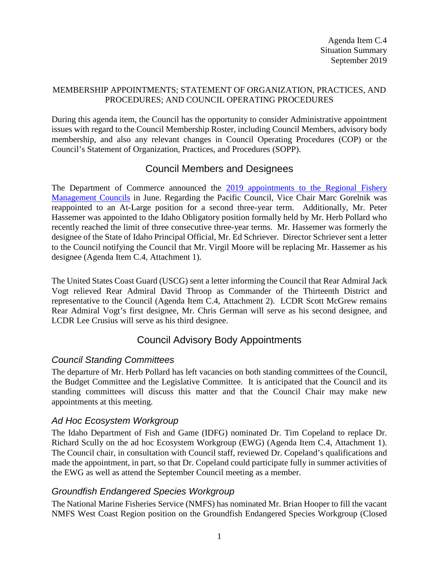#### MEMBERSHIP APPOINTMENTS; STATEMENT OF ORGANIZATION, PRACTICES, AND PROCEDURES; AND COUNCIL OPERATING PROCEDURES

During this agenda item, the Council has the opportunity to consider Administrative appointment issues with regard to the Council Membership Roster, including Council Members, advisory body membership, and also any relevant changes in Council Operating Procedures (COP) or the Council's Statement of Organization, Practices, and Procedures (SOPP).

## Council Members and Designees

The Department of Commerce announced the 2019 appointments to the Regional Fishery [Management Councils](https://www.fisheries.noaa.gov/feature-story/department-commerce-announces-2019-appointments-regional-fishery-management-councils) in June. Regarding the Pacific Council, Vice Chair Marc Gorelnik was reappointed to an At-Large position for a second three-year term. Additionally, Mr. Peter Hassemer was appointed to the Idaho Obligatory position formally held by Mr. Herb Pollard who recently reached the limit of three consecutive three-year terms. Mr. Hassemer was formerly the designee of the State of Idaho Principal Official, Mr. Ed Schriever. Director Schriever sent a letter to the Council notifying the Council that Mr. Virgil Moore will be replacing Mr. Hassemer as his designee (Agenda Item C.4, Attachment 1).

The United States Coast Guard (USCG) sent a letter informing the Council that Rear Admiral Jack Vogt relieved Rear Admiral David Throop as Commander of the Thirteenth District and representative to the Council (Agenda Item C.4, Attachment 2). LCDR Scott McGrew remains Rear Admiral Vogt's first designee, Mr. Chris German will serve as his second designee, and LCDR Lee Crusius will serve as his third designee.

# Council Advisory Body Appointments

### *Council Standing Committees*

The departure of Mr. Herb Pollard has left vacancies on both standing committees of the Council, the Budget Committee and the Legislative Committee. It is anticipated that the Council and its standing committees will discuss this matter and that the Council Chair may make new appointments at this meeting.

### *Ad Hoc Ecosystem Workgroup*

The Idaho Department of Fish and Game (IDFG) nominated Dr. Tim Copeland to replace Dr. Richard Scully on the ad hoc Ecosystem Workgroup (EWG) (Agenda Item C.4, Attachment 1). The Council chair, in consultation with Council staff, reviewed Dr. Copeland's qualifications and made the appointment, in part, so that Dr. Copeland could participate fully in summer activities of the EWG as well as attend the September Council meeting as a member.

### *Groundfish Endangered Species Workgroup*

The National Marine Fisheries Service (NMFS) has nominated Mr. Brian Hooper to fill the vacant NMFS West Coast Region position on the Groundfish Endangered Species Workgroup (Closed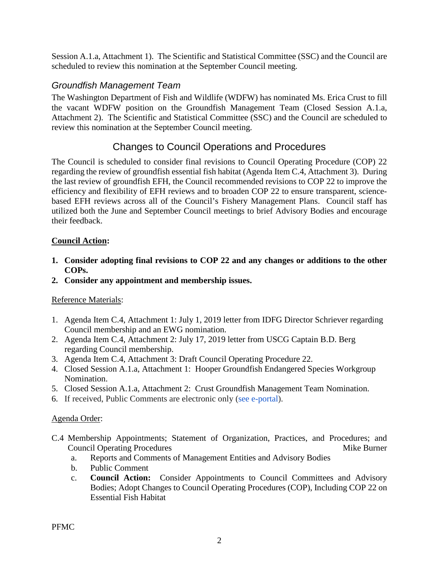Session A.1.a, Attachment 1). The Scientific and Statistical Committee (SSC) and the Council are scheduled to review this nomination at the September Council meeting.

## *Groundfish Management Team*

The Washington Department of Fish and Wildlife (WDFW) has nominated Ms. Erica Crust to fill the vacant WDFW position on the Groundfish Management Team (Closed Session A.1.a, Attachment 2). The Scientific and Statistical Committee (SSC) and the Council are scheduled to review this nomination at the September Council meeting.

# Changes to Council Operations and Procedures

The Council is scheduled to consider final revisions to Council Operating Procedure (COP) 22 regarding the review of groundfish essential fish habitat (Agenda Item C.4, Attachment 3). During the last review of groundfish EFH, the Council recommended revisions to COP 22 to improve the efficiency and flexibility of EFH reviews and to broaden COP 22 to ensure transparent, sciencebased EFH reviews across all of the Council's Fishery Management Plans. Council staff has utilized both the June and September Council meetings to brief Advisory Bodies and encourage their feedback.

#### **Council Action:**

- **1. Consider adopting final revisions to COP 22 and any changes or additions to the other COPs.**
- **2. Consider any appointment and membership issues.**

#### Reference Materials:

- 1. Agenda Item C.4, Attachment 1: July 1, 2019 letter from IDFG Director Schriever regarding Council membership and an EWG nomination.
- 2. Agenda Item C.4, Attachment 2: July 17, 2019 letter from USCG Captain B.D. Berg regarding Council membership.
- 3. Agenda Item C.4, Attachment 3: Draft Council Operating Procedure 22.
- 4. Closed Session A.1.a, Attachment 1: Hooper Groundfish Endangered Species Workgroup Nomination.
- 5. Closed Session A.1.a, Attachment 2: Crust Groundfish Management Team Nomination.
- 6. If received, Public Comments are electronic only [\(see e-portal\)](https://pfmc.psmfc.org/).

#### Agenda Order:

- C.4 Membership Appointments; Statement of Organization, Practices, and Procedures; and **Council Operating Procedures and Souncil Operating Procedures And Souncil Operating Procedures** Mike Burner
	- a. Reports and Comments of Management Entities and Advisory Bodies
	- b. Public Comment
	- c. **Council Action:** Consider Appointments to Council Committees and Advisory Bodies; Adopt Changes to Council Operating Procedures (COP), Including COP 22 on Essential Fish Habitat